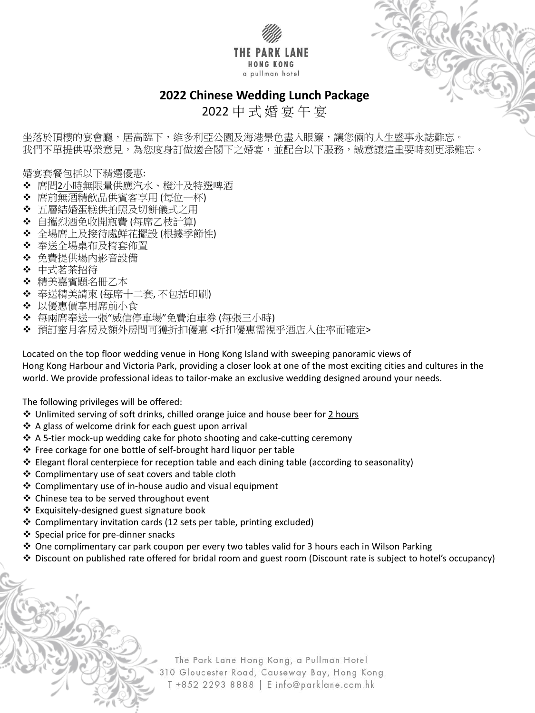

坐落於頂樓的宴會廳,居高臨下,維多利亞公園及海港景色盡入眼簾,讓您倆的人生盛事永誌難忘。 我們不單提供專業意見,為您度身訂做適合閣下之婚宴,並配合以下服務,誠意讓這重要時刻更添難忘。



2022 中 式 婚 宴 午 宴

婚宴套餐包括以下精選優惠:

- 席間2小時無限量供應汽水、橙汁及特選啤酒
- ◆ 席前無酒精飲品供賓客享用 (每位一杯)
- ◆ 五層結婚蛋糕供拍照及切餅儀式之用
- 自攜烈酒免收開瓶費 (每席乙枝計算)
- 全場席上及接待處鮮花擺設 (根據季節性)
- 奉送全場桌布及椅套佈置
- ◆ 免費提供場內影音設備
- ❖ 中式茗茶招待
- ◆ 精美嘉賓題名冊乙本
- 奉送精美請柬 (每席十二套, 不包括印刷)
- ◆ 以優惠價享用席前小食
- 每兩席奉送一張"威信停車場"免費泊車券 (每張三小時)
- 預訂蜜月客房及額外房間可獲折扣優惠 <折扣優惠需視乎酒店入住率而確定>

Located on the top floor wedding venue in Hong Kong Island with sweeping panoramic views of Hong Kong Harbour and Victoria Park, providing a closer look at one of the most exciting cities and cultures in the world. We provide professional ideas to tailor-make an exclusive wedding designed around your needs.

The following privileges will be offered:

- ◆ Unlimited serving of soft drinks, chilled orange juice and house beer for 2 hours
- A glass of welcome drink for each guest upon arrival
- ◆ A 5-tier mock-up wedding cake for photo shooting and cake-cutting ceremony
- Free corkage for one bottle of self-brought hard liquor per table
- Elegant floral centerpiece for reception table and each dining table (according to seasonality)
- Complimentary use of seat covers and table cloth
- Complimentary use of in-house audio and visual equipment
- ❖ Chinese tea to be served throughout event
- 
- Exquisitely-designed guest signature book
- Complimentary invitation cards (12 sets per table, printing excluded)
- ❖ Special price for pre-dinner snacks
- ◆ One complimentary car park coupon per every two tables valid for 3 hours each in Wilson Parking
- Discount on published rate offered for bridal room and guest room (Discount rate is subject to hotel's occupancy)

The Park Lane Hong Kong, a Pullman Hotel 310 Gloucester Road, Causeway Bay, Hong Kong T +852 2293 8888 | E info@parklane.com.hk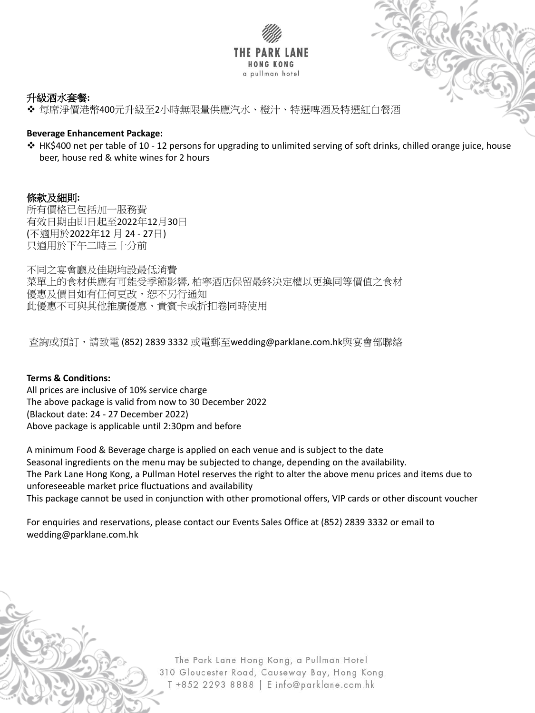



## 升級酒水套餐**:**

每席淨價港幣400元升級至2小時無限量供應汽水、橙汁、特選啤酒及特選紅白餐酒

## **Beverage Enhancement Package:**

 HK\$400 net per table of 10 - 12 persons for upgrading to unlimited serving of soft drinks, chilled orange juice, house beer, house red & white wines for 2 hours

# 條款及細則**:**

所有價格已包括加一服務費 有效日期由即日起至2022年12月30日 (不適用於2022年12 月 24 - 27日) 只適用於下午二時三十分前

不同之宴會廳及佳期均設最低消費 菜單上的食材供應有可能受季節影響, 柏寧酒店保留最終決定權以更換同等價值之食材 優惠及價目如有任何更改,恕不另行通知 此優惠不可與其他推廣優惠、貴賓卡或折扣卷同時使用

查詢或預訂,請致電 (852) 2839 3332 或電郵至wedding@parklane.com.hk與宴會部聯絡

### **Terms & Conditions:**

All prices are inclusive of 10% service charge The above package is valid from now to 30 December 2022 (Blackout date: 24 - 27 December 2022) Above package is applicable until 2:30pm and before

A minimum Food & Beverage charge is applied on each venue and is subject to the date Seasonal ingredients on the menu may be subjected to change, depending on the availability. The Park Lane Hong Kong, a Pullman Hotel reserves the right to alter the above menu prices and items due to unforeseeable market price fluctuations and availability This package cannot be used in conjunction with other promotional offers, VIP cards or other discount voucher

For enquiries and reservations, please contact our Events Sales Office at (852) 2839 3332 or email to wedding@parklane.com.hk

> The Park Lane Hong Kong, a Pullman Hotel 310 Gloucester Road, Causeway Bay, Hong Kong T +852 2293 8888 | E info@parklane.com.hk